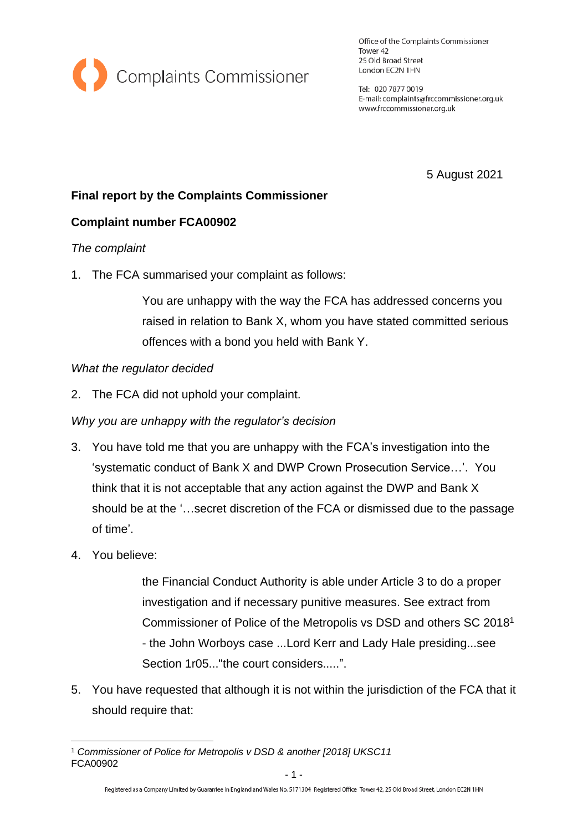

Office of the Complaints Commissioner Tower 42 25 Old Broad Street London EC2N 1HN

Tel: 020 7877 0019 E-mail: complaints@frccommissioner.org.uk www.frccommissioner.org.uk

5 August 2021

# **Final report by the Complaints Commissioner**

# **Complaint number FCA00902**

#### *The complaint*

1. The FCA summarised your complaint as follows:

You are unhappy with the way the FCA has addressed concerns you raised in relation to Bank X, whom you have stated committed serious offences with a bond you held with Bank Y.

#### *What the regulator decided*

2. The FCA did not uphold your complaint.

# *Why you are unhappy with the regulator's decision*

- 3. You have told me that you are unhappy with the FCA's investigation into the 'systematic conduct of Bank X and DWP Crown Prosecution Service…'. You think that it is not acceptable that any action against the DWP and Bank X should be at the '…secret discretion of the FCA or dismissed due to the passage of time'.
- 4. You believe:

the Financial Conduct Authority is able under Article 3 to do a proper investigation and if necessary punitive measures. See extract from Commissioner of Police of the Metropolis vs DSD and others SC 2018<sup>1</sup> - the John Worboys case ...Lord Kerr and Lady Hale presiding...see Section 1r05..." the court considers.....".

5. You have requested that although it is not within the jurisdiction of the FCA that it should require that:

FCA00902 <sup>1</sup> *Commissioner of Police for Metropolis v DSD & another [2018] UKSC11*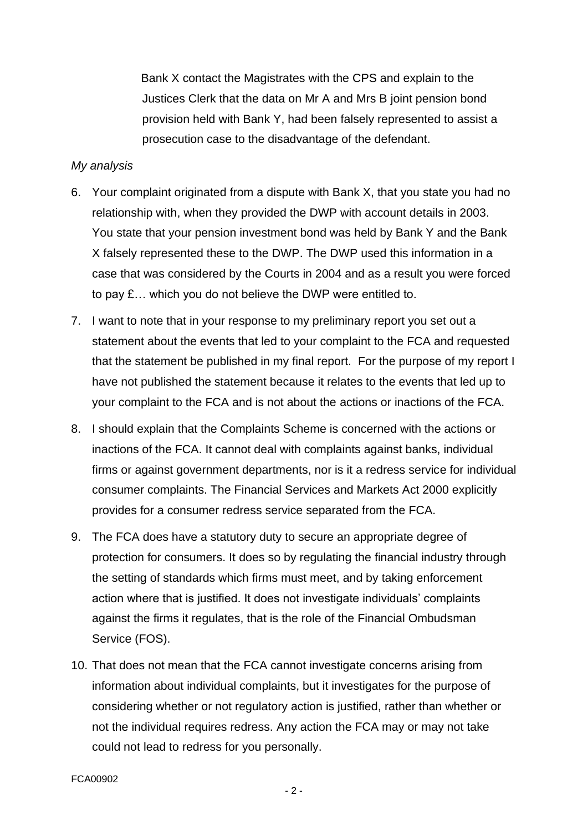Bank X contact the Magistrates with the CPS and explain to the Justices Clerk that the data on Mr A and Mrs B joint pension bond provision held with Bank Y, had been falsely represented to assist a prosecution case to the disadvantage of the defendant.

#### *My analysis*

- 6. Your complaint originated from a dispute with Bank X, that you state you had no relationship with, when they provided the DWP with account details in 2003. You state that your pension investment bond was held by Bank Y and the Bank X falsely represented these to the DWP. The DWP used this information in a case that was considered by the Courts in 2004 and as a result you were forced to pay £… which you do not believe the DWP were entitled to.
- 7. I want to note that in your response to my preliminary report you set out a statement about the events that led to your complaint to the FCA and requested that the statement be published in my final report. For the purpose of my report I have not published the statement because it relates to the events that led up to your complaint to the FCA and is not about the actions or inactions of the FCA.
- 8. I should explain that the Complaints Scheme is concerned with the actions or inactions of the FCA. It cannot deal with complaints against banks, individual firms or against government departments, nor is it a redress service for individual consumer complaints. The Financial Services and Markets Act 2000 explicitly provides for a consumer redress service separated from the FCA.
- 9. The FCA does have a statutory duty to secure an appropriate degree of protection for consumers. It does so by regulating the financial industry through the setting of standards which firms must meet, and by taking enforcement action where that is justified. It does not investigate individuals' complaints against the firms it regulates, that is the role of the Financial Ombudsman Service (FOS).
- 10. That does not mean that the FCA cannot investigate concerns arising from information about individual complaints, but it investigates for the purpose of considering whether or not regulatory action is justified, rather than whether or not the individual requires redress. Any action the FCA may or may not take could not lead to redress for you personally.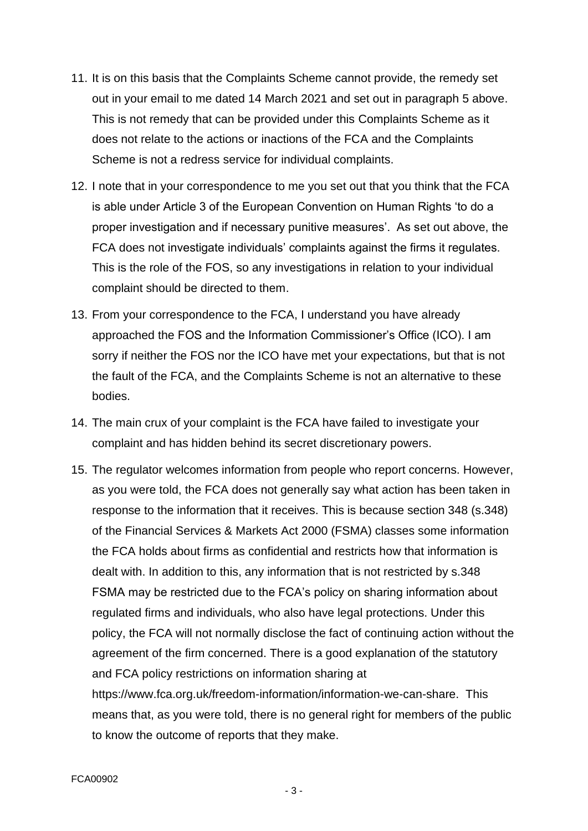- 11. It is on this basis that the Complaints Scheme cannot provide, the remedy set out in your email to me dated 14 March 2021 and set out in paragraph 5 above. This is not remedy that can be provided under this Complaints Scheme as it does not relate to the actions or inactions of the FCA and the Complaints Scheme is not a redress service for individual complaints.
- 12. I note that in your correspondence to me you set out that you think that the FCA is able under Article 3 of the European Convention on Human Rights 'to do a proper investigation and if necessary punitive measures'. As set out above, the FCA does not investigate individuals' complaints against the firms it regulates. This is the role of the FOS, so any investigations in relation to your individual complaint should be directed to them.
- 13. From your correspondence to the FCA, I understand you have already approached the FOS and the Information Commissioner's Office (ICO). I am sorry if neither the FOS nor the ICO have met your expectations, but that is not the fault of the FCA, and the Complaints Scheme is not an alternative to these bodies.
- 14. The main crux of your complaint is the FCA have failed to investigate your complaint and has hidden behind its secret discretionary powers.
- 15. The regulator welcomes information from people who report concerns. However, as you were told, the FCA does not generally say what action has been taken in response to the information that it receives. This is because section 348 (s.348) of the Financial Services & Markets Act 2000 (FSMA) classes some information the FCA holds about firms as confidential and restricts how that information is dealt with. In addition to this, any information that is not restricted by s.348 FSMA may be restricted due to the FCA's policy on sharing information about regulated firms and individuals, who also have legal protections. Under this policy, the FCA will not normally disclose the fact of continuing action without the agreement of the firm concerned. There is a good explanation of the statutory and FCA policy restrictions on information sharing at https://www.fca.org.uk/freedom-information/information-we-can-share. This means that, as you were told, there is no general right for members of the public to know the outcome of reports that they make.

- 3 -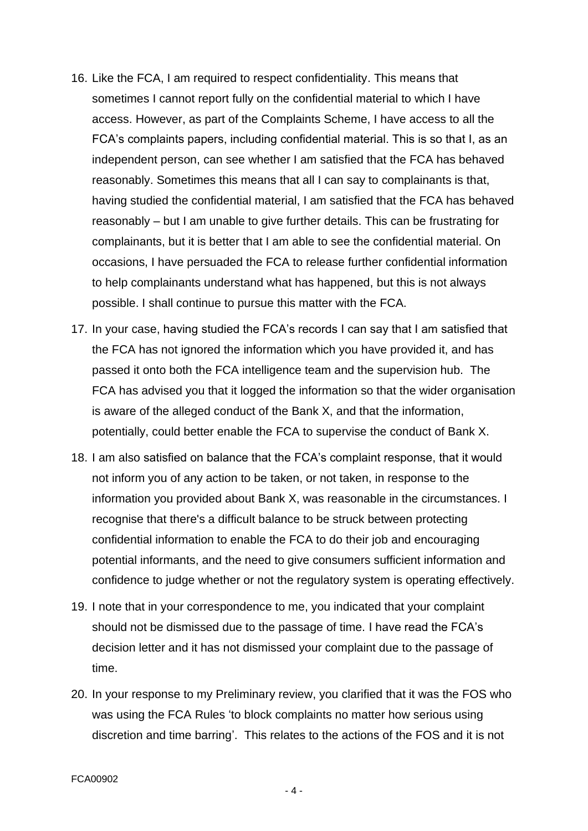- 16. Like the FCA, I am required to respect confidentiality. This means that sometimes I cannot report fully on the confidential material to which I have access. However, as part of the Complaints Scheme, I have access to all the FCA's complaints papers, including confidential material. This is so that I, as an independent person, can see whether I am satisfied that the FCA has behaved reasonably. Sometimes this means that all I can say to complainants is that, having studied the confidential material, I am satisfied that the FCA has behaved reasonably – but I am unable to give further details. This can be frustrating for complainants, but it is better that I am able to see the confidential material. On occasions, I have persuaded the FCA to release further confidential information to help complainants understand what has happened, but this is not always possible. I shall continue to pursue this matter with the FCA.
- 17. In your case, having studied the FCA's records I can say that I am satisfied that the FCA has not ignored the information which you have provided it, and has passed it onto both the FCA intelligence team and the supervision hub. The FCA has advised you that it logged the information so that the wider organisation is aware of the alleged conduct of the Bank X, and that the information, potentially, could better enable the FCA to supervise the conduct of Bank X.
- 18. I am also satisfied on balance that the FCA's complaint response, that it would not inform you of any action to be taken, or not taken, in response to the information you provided about Bank X, was reasonable in the circumstances. I recognise that there's a difficult balance to be struck between protecting confidential information to enable the FCA to do their job and encouraging potential informants, and the need to give consumers sufficient information and confidence to judge whether or not the regulatory system is operating effectively.
- 19. I note that in your correspondence to me, you indicated that your complaint should not be dismissed due to the passage of time. I have read the FCA's decision letter and it has not dismissed your complaint due to the passage of time.
- 20. In your response to my Preliminary review, you clarified that it was the FOS who was using the FCA Rules 'to block complaints no matter how serious using discretion and time barring'. This relates to the actions of the FOS and it is not

- 4 -